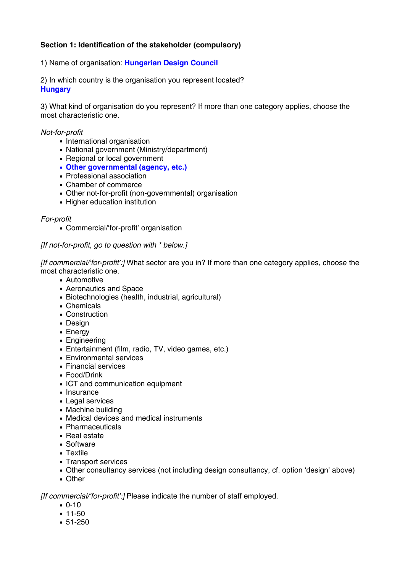# **Section 1: Identification of the stakeholder (compulsory)**

### 1) Name of organisation: **Hungarian Design Council**

2) In which country is the organisation you represent located? **Hungary** 

3) What kind of organisation do you represent? If more than one category applies, choose the most characteristic one.

#### *Not-for-profit*

- International organisation
- National government (Ministry/department)
- Regional or local government
- **Other governmental (agency, etc.)**
- Professional association
- Chamber of commerce
- Other not-for-profit (non-governmental) organisation
- Higher education institution

#### *For-profit*

• Commercial/'for-profit' organisation

### *[If not-for-profit, go to question with \* below.]*

*[If commercial/'for-profit':]* What sector are you in? If more than one category applies, choose the most characteristic one.

- Automotive
- Aeronautics and Space
- Biotechnologies (health, industrial, agricultural)
- Chemicals
- Construction
- Design
- Energy
- Engineering
- Entertainment (film, radio, TV, video games, etc.)
- Environmental services
- Financial services
- Food/Drink
- ICT and communication equipment
- Insurance
- Legal services
- Machine building
- Medical devices and medical instruments
- Pharmaceuticals
- Real estate
- Software
- Textile
- Transport services
- Other consultancy services (not including design consultancy, cf. option 'design' above)
- Other

*[If commercial/'for-profit':]* Please indicate the number of staff employed.

- 0-10
- 11-50
- 51-250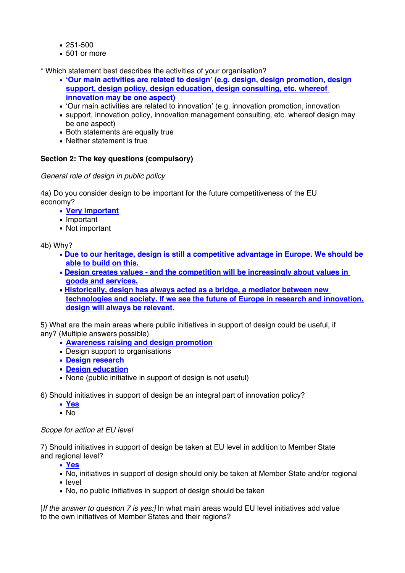- 251-500
- 501 or more

\* Which statement best describes the activities of your organisation?

- **'Our main activities are related to design' (e.g. design, design promotion, design support, design policy, design education, design consulting, etc. whereof innovation may be one aspect)**
- 'Our main activities are related to innovation' (e.g. innovation promotion, innovation
- support, innovation policy, innovation management consulting, etc. whereof design may be one aspect)
- Both statements are equally true
- Neither statement is true

# **Section 2: The key questions (compulsory)**

*General role of design in public policy* 

4a) Do you consider design to be important for the future competitiveness of the EU economy?

- **Very important**
- Important
- Not important

4b) Why?

- **Due to our heritage, design is still a competitive advantage in Europe. We should be able to build on this.**
- **Design creates values and the competition will be increasingly about values in goods and services.**
- **Historically, design has always acted as a bridge, a mediator between new technologies and society. If we see the future of Europe in research and innovation, design will always be relevant.**

5) What are the main areas where public initiatives in support of design could be useful, if any? (Multiple answers possible)

- **Awareness raising and design promotion**
- Design support to organisations
- **Design research**
- **Design education**
- None (public initiative in support of design is not useful)
- 6) Should initiatives in support of design be an integral part of innovation policy?
	- **Yes**
	- No

## *Scope for action at EU level*

7) Should initiatives in support of design be taken at EU level in addition to Member State and regional level?

• **Yes**

- No, initiatives in support of design should only be taken at Member State and/or regional
- level
- No, no public initiatives in support of design should be taken

[*If the answer to question 7 is yes:]* In what main areas would EU level initiatives add value to the own initiatives of Member States and their regions?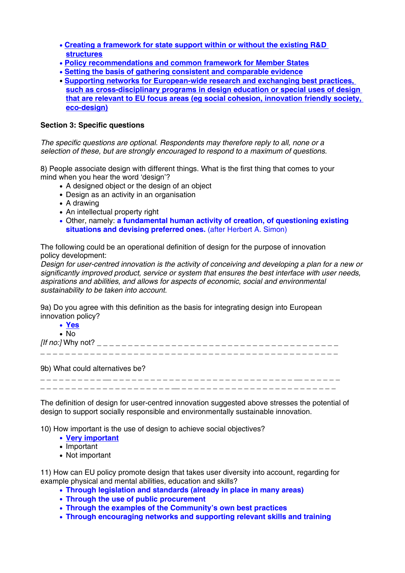- **Creating a framework for state support within or without the existing R&D structures**
- **Policy recommendations and common framework for Member States**
- **Setting the basis of gathering consistent and comparable evidence**
- **Supporting networks for European-wide research and exchanging best practices, such as cross-disciplinary programs in design education or special uses of design that are relevant to EU focus areas (eg social cohesion, innovation friendly society, eco-design)**

### **Section 3: Specific questions**

*The specific questions are optional. Respondents may therefore reply to all, none or a selection of these, but are strongly encouraged to respond to a maximum of questions.* 

8) People associate design with different things. What is the first thing that comes to your mind when you hear the word 'design'?

- A designed object or the design of an object
- Design as an activity in an organisation
- A drawing
- An intellectual property right
- Other, namely: **a fundamental human activity of creation, of questioning existing situations and devising preferred ones.** (after Herbert A. Simon)

The following could be an operational definition of design for the purpose of innovation policy development:

*Design for user-centred innovation is the activity of conceiving and developing a plan for a new or significantly improved product, service or system that ensures the best interface with user needs, aspirations and abilities, and allows for aspects of economic, social and environmental sustainability to be taken into account.*

9a) Do you agree with this definition as the basis for integrating design into European innovation policy?

| • <u>Yes</u>             |  |  |  |
|--------------------------|--|--|--|
| $\bullet$ No             |  |  |  |
| <i>[If no:]</i> Why not? |  |  |  |
|                          |  |  |  |
|                          |  |  |  |

9b) What could alternatives be?

\_ \_ \_ \_ \_ \_ \_ \_ \_ \_ \_\_ \_ \_ \_ \_ \_ \_ \_ \_ \_ \_ \_ \_ \_ \_ \_ \_ \_ \_ \_ \_ \_ \_ \_ \_ \_ \_ \_ \_ \_ \_\_ \_ \_ \_ \_ \_ \_ \_ \_ \_ \_ \_ \_ \_ \_ \_ \_ \_ \_ \_ \_ \_ \_ \_ \_ \_ \_ \_ \_\_ \_ \_ \_ \_ \_ \_ \_ \_ \_ \_ \_ \_ \_ \_ \_ \_ \_ \_ \_ \_ \_ \_ \_ \_ \_

The definition of design for user-centred innovation suggested above stresses the potential of design to support socially responsible and environmentally sustainable innovation.

10) How important is the use of design to achieve social objectives?

- **Very important**
- Important
- Not important

11) How can EU policy promote design that takes user diversity into account, regarding for example physical and mental abilities, education and skills?

- **Through legislation and standards (already in place in many areas)**
- **Through the use of public procurement**
- **Through the examples of the Community's own best practices**
- **Through encouraging networks and supporting relevant skills and training**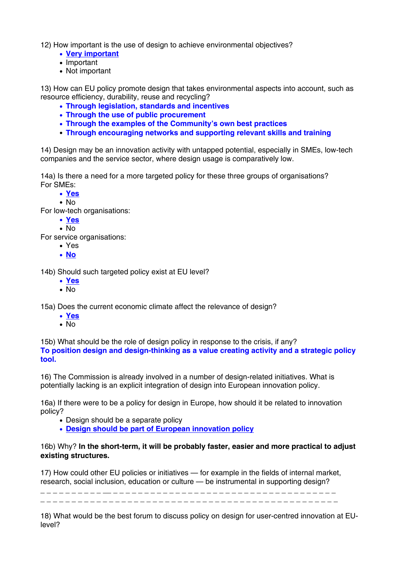12) How important is the use of design to achieve environmental objectives?

- **Very important**
- Important
- Not important

13) How can EU policy promote design that takes environmental aspects into account, such as resource efficiency, durability, reuse and recycling?

- **Through legislation, standards and incentives**
- **Through the use of public procurement**
- **Through the examples of the Community's own best practices**
- **Through encouraging networks and supporting relevant skills and training**

14) Design may be an innovation activity with untapped potential, especially in SMEs, low-tech companies and the service sector, where design usage is comparatively low.

14a) Is there a need for a more targeted policy for these three groups of organisations? For SMEs:

- **Yes**
- No

For low-tech organisations:

- **Yes**
- No

For service organisations:

- Yes
- **No**

14b) Should such targeted policy exist at EU level?

- **Yes**
- No

15a) Does the current economic climate affect the relevance of design?

- **Yes**
- No

15b) What should be the role of design policy in response to the crisis, if any? **To position design and design-thinking as a value creating activity and a strategic policy tool.** 

16) The Commission is already involved in a number of design-related initiatives. What is potentially lacking is an explicit integration of design into European innovation policy.

16a) If there were to be a policy for design in Europe, how should it be related to innovation policy?

- Design should be a separate policy
- **Design should be part of European innovation policy**

## 16b) Why? **In the short-term, it will be probably faster, easier and more practical to adjust existing structures.**

17) How could other EU policies or initiatives — for example in the fields of internal market, research, social inclusion, education or culture — be instrumental in supporting design?

\_ \_ \_ \_ \_ \_ \_ \_ \_ \_ \_\_ \_ \_ \_ \_ \_ \_ \_ \_ \_ \_ \_ \_ \_ \_ \_ \_ \_ \_ \_ \_ \_ \_ \_ \_ \_ \_ \_ \_ \_ \_ \_ \_ \_ \_ \_ \_ \_ \_ \_ \_ \_ \_ \_ \_ \_ \_ \_ \_ \_ \_ \_ \_ \_ \_ \_ \_ \_ \_ \_ \_ \_ \_ \_ \_ \_ \_ \_ \_ \_ \_ \_ \_ \_ \_ \_ \_ \_ \_ \_ \_ \_ \_ \_ \_

18) What would be the best forum to discuss policy on design for user-centred innovation at EUlevel?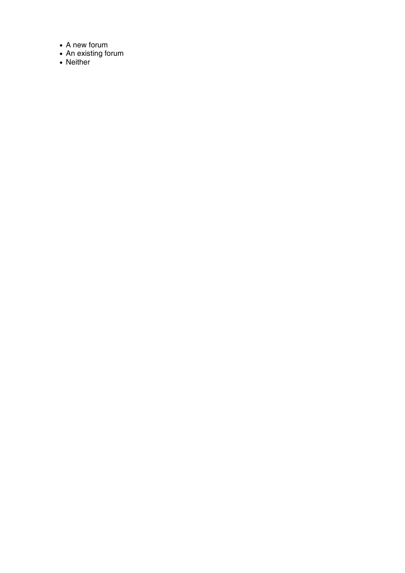- A new forum
- An existing forum
- Neither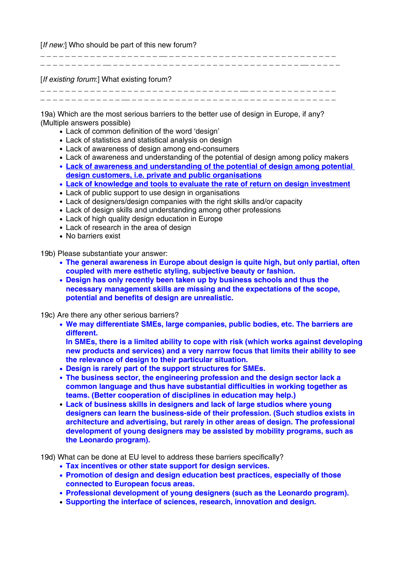[*If new:*] Who should be part of this new forum?

[*If existing forum*:] What existing forum?

\_ \_ \_ \_ \_ \_ \_ \_ \_ \_ \_ \_ \_ \_ \_ \_ \_ \_ \_ \_ \_ \_ \_ \_ \_ \_ \_ \_ \_ \_ \_ \_ \_\_ \_ \_ \_ \_ \_ \_ \_ \_ \_ \_ \_ \_ \_ \_ \_ \_ \_ \_ \_ \_ \_ \_ \_ \_ \_ \_ \_ \_\_ \_ \_ \_ \_ \_ \_ \_ \_ \_ \_ \_ \_ \_ \_ \_ \_ \_ \_ \_ \_ \_ \_ \_ \_ \_ \_ \_ \_ \_ \_ \_ \_ \_

\_ \_ \_ \_ \_ \_ \_ \_ \_ \_ \_ \_ \_ \_ \_ \_ \_ \_ \_ \_\_ \_ \_ \_ \_ \_ \_ \_ \_ \_ \_ \_ \_ \_ \_ \_ \_ \_ \_ \_ \_ \_ \_ \_ \_ \_ \_ \_ \_ \_ \_ \_ \_ \_ \_ \_ \_ \_ \_\_ \_ \_ \_ \_ \_ \_ \_ \_ \_ \_ \_ \_ \_ \_ \_ \_ \_ \_ \_ \_ \_ \_ \_ \_ \_ \_ \_ \_ \_ \_ \_\_ \_ \_ \_ \_ \_

19a) Which are the most serious barriers to the better use of design in Europe, if any? (Multiple answers possible)

- Lack of common definition of the word 'design'
- Lack of statistics and statistical analysis on design
- Lack of awareness of design among end-consumers
- Lack of awareness and understanding of the potential of design among policy makers
- **Lack of awareness and understanding of the potential of design among potential design customers, i.e. private and public organisations**
- **Lack of knowledge and tools to evaluate the rate of return on design investment**
- Lack of public support to use design in organisations
- Lack of designers/design companies with the right skills and/or capacity
- Lack of design skills and understanding among other professions
- Lack of high quality design education in Europe
- Lack of research in the area of design
- No barriers exist

19b) Please substantiate your answer:

- **The general awareness in Europe about design is quite high, but only partial, often coupled with mere esthetic styling, subjective beauty or fashion.**
- **Design has only recently been taken up by business schools and thus the necessary management skills are missing and the expectations of the scope, potential and benefits of design are unrealistic.**

19c) Are there any other serious barriers?

• **We may differentiate SMEs, large companies, public bodies, etc. The barriers are different.** 

**In SMEs, there is a limited ability to cope with risk (which works against developing new products and services) and a very narrow focus that limits their ability to see the relevance of design to their particular situation.** 

- **Design is rarely part of the support structures for SMEs.**
- **The business sector, the engineering profession and the design sector lack a common language and thus have substantial difficulties in working together as teams. (Better cooperation of disciplines in education may help.)**
- **Lack of business skills in designers and lack of large studios where young designers can learn the business-side of their profession. (Such studios exists in architecture and advertising, but rarely in other areas of design. The professional development of young designers may be assisted by mobility programs, such as the Leonardo program).**

19d) What can be done at EU level to address these barriers specifically?

- **Tax incentives or other state support for design services.**
- **Promotion of design and design education best practices, especially of those connected to European focus areas.**
- **Professional development of young designers (such as the Leonardo program).**
- **Supporting the interface of sciences, research, innovation and design.**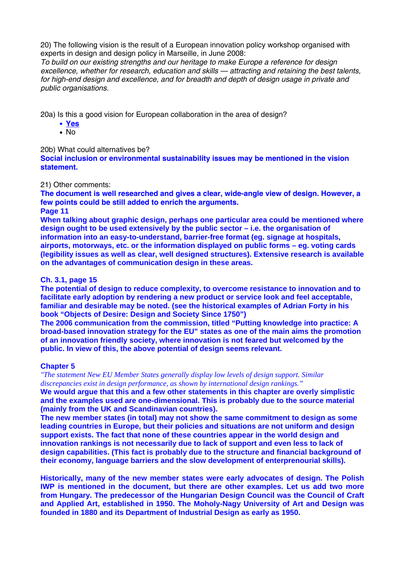20) The following vision is the result of a European innovation policy workshop organised with experts in design and design policy in Marseille, in June 2008:

*To build on our existing strengths and our heritage to make Europe a reference for design excellence, whether for research, education and skills — attracting and retaining the best talents, for high-end design and excellence, and for breadth and depth of design usage in private and public organisations.*

20a) Is this a good vision for European collaboration in the area of design?

- **Yes**
- No

### 20b) What could alternatives be?

**Social inclusion or environmental sustainability issues may be mentioned in the vision statement.** 

### 21) Other comments:

**The document is well researched and gives a clear, wide-angle view of design. However, a few points could be still added to enrich the arguments.** 

## **Page 11**

**When talking about graphic design, perhaps one particular area could be mentioned where design ought to be used extensively by the public sector – i.e. the organisation of information into an easy-to-understand, barrier-free format (eg. signage at hospitals, airports, motorways, etc. or the information displayed on public forms – eg. voting cards (legibility issues as well as clear, well designed structures). Extensive research is available on the advantages of communication design in these areas.** 

### **Ch. 3.1, page 15**

**The potential of design to reduce complexity, to overcome resistance to innovation and to facilitate early adoption by rendering a new product or service look and feel acceptable, familiar and desirable may be noted. (see the historical examples of Adrian Forty in his book "Objects of Desire: Design and Society Since 1750")**

**The 2006 communication from the commission, titled "Putting knowledge into practice: A broad-based innovation strategy for the EU" states as one of the main aims the promotion of an innovation friendly society, where innovation is not feared but welcomed by the public. In view of this, the above potential of design seems relevant.**

## **Chapter 5**

*"The statement New EU Member States generally display low levels of design support. Similar discrepancies exist in design performance, as shown by international design rankings."*

**We would argue that this and a few other statements in this chapter are overly simplistic and the examples used are one-dimensional. This is probably due to the source material (mainly from the UK and Scandinavian countries).** 

**The new member states (in total) may not show the same commitment to design as some leading countries in Europe, but their policies and situations are not uniform and design support exists. The fact that none of these countries appear in the world design and innovation rankings is not necessarily due to lack of support and even less to lack of design capabilities. (This fact is probably due to the structure and financial background of their economy, language barriers and the slow development of enterprenourial skills).** 

**Historically, many of the new member states were early advocates of design. The Polish IWP is mentioned in the document, but there are other examples. Let us add two more from Hungary. The predecessor of the Hungarian Design Council was the Council of Craft and Applied Art, established in 1950. The Moholy-Nagy University of Art and Design was founded in 1880 and its Department of Industrial Design as early as 1950.**